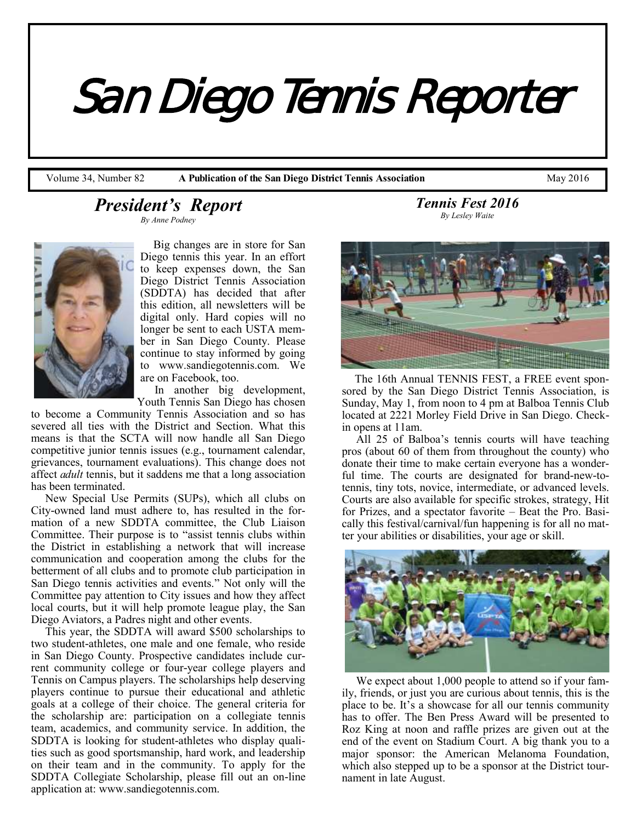*San Diego Tennis Reporter* 

Volume 34, Number 82 **A Publication of the San Diego District Tennis Association** May 2016

# *President's Report By Anne Podney*



 Big changes are in store for San Diego tennis this year. In an effort to keep expenses down, the San Diego District Tennis Association (SDDTA) has decided that after this edition, all newsletters will be digital only. Hard copies will no longer be sent to each USTA member in San Diego County. Please continue to stay informed by going to www.sandiegotennis.com. We are on Facebook, too.

 In another big development, Youth Tennis San Diego has chosen

to become a Community Tennis Association and so has severed all ties with the District and Section. What this means is that the SCTA will now handle all San Diego competitive junior tennis issues (e.g., tournament calendar, grievances, tournament evaluations). This change does not affect *adult* tennis, but it saddens me that a long association has been terminated.

 New Special Use Permits (SUPs), which all clubs on City-owned land must adhere to, has resulted in the formation of a new SDDTA committee, the Club Liaison Committee. Their purpose is to "assist tennis clubs within the District in establishing a network that will increase communication and cooperation among the clubs for the betterment of all clubs and to promote club participation in San Diego tennis activities and events." Not only will the Committee pay attention to City issues and how they affect local courts, but it will help promote league play, the San Diego Aviators, a Padres night and other events.

 This year, the SDDTA will award \$500 scholarships to two student-athletes, one male and one female, who reside in San Diego County. Prospective candidates include current community college or four-year college players and Tennis on Campus players. The scholarships help deserving players continue to pursue their educational and athletic goals at a college of their choice. The general criteria for the scholarship are: participation on a collegiate tennis team, academics, and community service. In addition, the SDDTA is looking for student-athletes who display qualities such as good sportsmanship, hard work, and leadership on their team and in the community. To apply for the SDDTA Collegiate Scholarship, please fill out an on-line application at: www.sandiegotennis.com.

*Tennis Fest 2016 By Lesley Waite*



 The 16th Annual TENNIS FEST, a FREE event sponsored by the San Diego District Tennis Association, is Sunday, May 1, from noon to 4 pm at Balboa Tennis Club located at 2221 Morley Field Drive in San Diego. Checkin opens at 11am.

 All 25 of Balboa's tennis courts will have teaching pros (about 60 of them from throughout the county) who donate their time to make certain everyone has a wonderful time. The courts are designated for brand-new-totennis, tiny tots, novice, intermediate, or advanced levels. Courts are also available for specific strokes, strategy, Hit for Prizes, and a spectator favorite – Beat the Pro. Basically this festival/carnival/fun happening is for all no matter your abilities or disabilities, your age or skill.



 We expect about 1,000 people to attend so if your family, friends, or just you are curious about tennis, this is the place to be. It's a showcase for all our tennis community has to offer. The Ben Press Award will be presented to Roz King at noon and raffle prizes are given out at the end of the event on Stadium Court. A big thank you to a major sponsor: the American Melanoma Foundation, which also stepped up to be a sponsor at the District tournament in late August.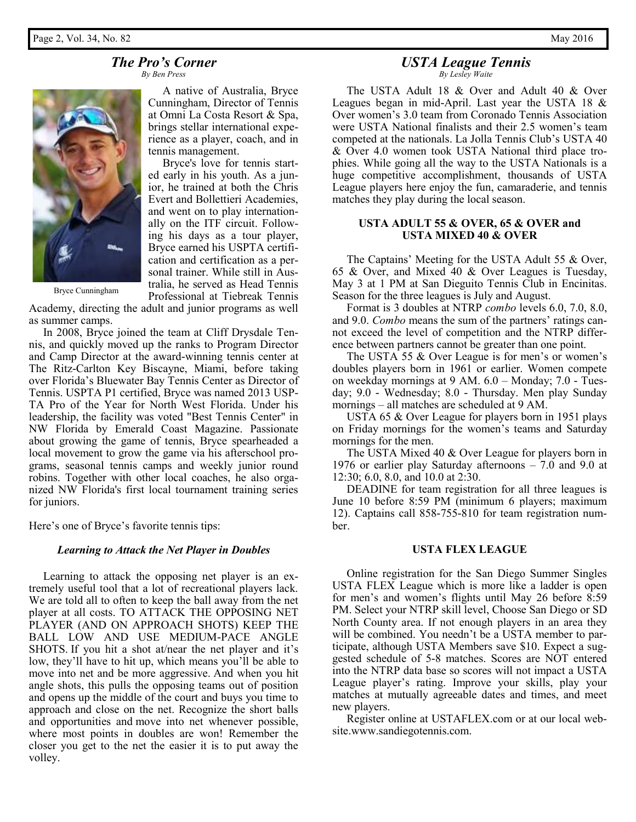### *The Pro's Corner By Ben Press*



 A native of Australia, Bryce Cunningham, Director of Tennis at Omni La Costa Resort & Spa, brings stellar international experience as a player, coach, and in tennis management.

 Bryce's love for tennis started early in his youth. As a junior, he trained at both the Chris Evert and Bollettieri Academies, and went on to play internationally on the ITF circuit. Following his days as a tour player, Bryce earned his USPTA certification and certification as a personal trainer. While still in Australia, he served as Head Tennis Professional at Tiebreak Tennis

Bryce Cunningham

Academy, directing the adult and junior programs as well as summer camps.

 In 2008, Bryce joined the team at Cliff Drysdale Tennis, and quickly moved up the ranks to Program Director and Camp Director at the award-winning tennis center at The Ritz-Carlton Key Biscayne, Miami, before taking over Florida's Bluewater Bay Tennis Center as Director of Tennis. USPTA P1 certified, Bryce was named 2013 USP-TA Pro of the Year for North West Florida. Under his leadership, the facility was voted "Best Tennis Center" in NW Florida by Emerald Coast Magazine. Passionate about growing the game of tennis, Bryce spearheaded a local movement to grow the game via his afterschool programs, seasonal tennis camps and weekly junior round robins. Together with other local coaches, he also organized NW Florida's first local tournament training series for juniors.

Here's one of Bryce's favorite tennis tips:

### *Learning to Attack the Net Player in Doubles*

 Learning to attack the opposing net player is an extremely useful tool that a lot of recreational players lack. We are told all to often to keep the ball away from the net player at all costs. TO ATTACK THE OPPOSING NET PLAYER (AND ON APPROACH SHOTS) KEEP THE BALL LOW AND USE MEDIUM-PACE ANGLE SHOTS. If you hit a shot at/near the net player and it's low, they'll have to hit up, which means you'll be able to move into net and be more aggressive. And when you hit angle shots, this pulls the opposing teams out of position and opens up the middle of the court and buys you time to approach and close on the net. Recognize the short balls and opportunities and move into net whenever possible, where most points in doubles are won! Remember the closer you get to the net the easier it is to put away the volley.

### *USTA League Tennis By Lesley Waite*

 The USTA Adult 18 & Over and Adult 40 & Over Leagues began in mid-April. Last year the USTA 18 & Over women's 3.0 team from Coronado Tennis Association were USTA National finalists and their 2.5 women's team competed at the nationals. La Jolla Tennis Club's USTA 40 & Over 4.0 women took USTA National third place trophies. While going all the way to the USTA Nationals is a huge competitive accomplishment, thousands of USTA League players here enjoy the fun, camaraderie, and tennis matches they play during the local season.

### **USTA ADULT 55 & OVER, 65 & OVER and USTA MIXED 40 & OVER**

 The Captains' Meeting for the USTA Adult 55 & Over, 65 & Over, and Mixed 40 & Over Leagues is Tuesday, May 3 at 1 PM at San Dieguito Tennis Club in Encinitas. Season for the three leagues is July and August.

 Format is 3 doubles at NTRP *combo* levels 6.0, 7.0, 8.0, and 9.0. *Combo* means the sum of the partners' ratings cannot exceed the level of competition and the NTRP difference between partners cannot be greater than one point.

 The USTA 55 & Over League is for men's or women's doubles players born in 1961 or earlier. Women compete on weekday mornings at 9 AM. 6.0 – Monday; 7.0 - Tuesday; 9.0 - Wednesday; 8.0 - Thursday. Men play Sunday mornings – all matches are scheduled at 9 AM.

 USTA 65 & Over League for players born in 1951 plays on Friday mornings for the women's teams and Saturday mornings for the men.

 The USTA Mixed 40 & Over League for players born in 1976 or earlier play Saturday afternoons – 7.0 and 9.0 at 12:30; 6.0, 8.0, and 10.0 at 2:30.

 DEADINE for team registration for all three leagues is June 10 before 8:59 PM (minimum 6 players; maximum 12). Captains call 858-755-810 for team registration number.

### **USTA FLEX LEAGUE**

 Online registration for the San Diego Summer Singles USTA FLEX League which is more like a ladder is open for men's and women's flights until May 26 before 8:59 PM. Select your NTRP skill level, Choose San Diego or SD North County area. If not enough players in an area they will be combined. You needn't be a USTA member to participate, although USTA Members save \$10. Expect a suggested schedule of 5-8 matches. Scores are NOT entered into the NTRP data base so scores will not impact a USTA League player's rating. Improve your skills, play your matches at mutually agreeable dates and times, and meet new players.

 Register online at USTAFLEX.com or at our local website.www.sandiegotennis.com.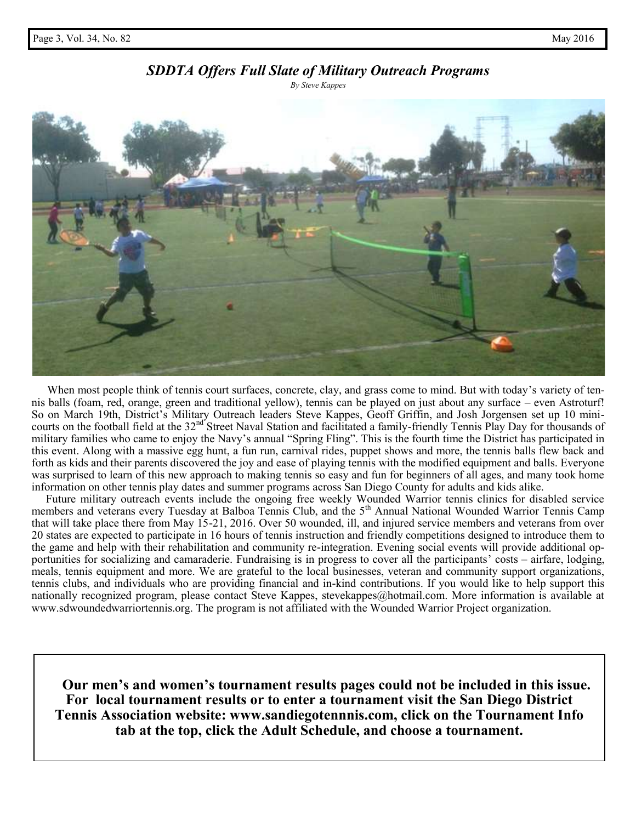# *SDDTA Offers Full Slate of Military Outreach Programs*

*By Steve Kappes*



When most people think of tennis court surfaces, concrete, clay, and grass come to mind. But with today's variety of tennis balls (foam, red, orange, green and traditional yellow), tennis can be played on just about any surface – even Astroturf! So on March 19th, District's Military Outreach leaders Steve Kappes, Geoff Griffin, and Josh Jorgensen set up 10 minicourts on the football field at the 32<sup>nd</sup> Street Naval Station and facilitated a family-friendly Tennis Play Day for thousands of military families who came to enjoy the Navy's annual "Spring Fling". This is the fourth time the District has participated in this event. Along with a massive egg hunt, a fun run, carnival rides, puppet shows and more, the tennis balls flew back and forth as kids and their parents discovered the joy and ease of playing tennis with the modified equipment and balls. Everyone was surprised to learn of this new approach to making tennis so easy and fun for beginners of all ages, and many took home information on other tennis play dates and summer programs across San Diego County for adults and kids alike.

 Future military outreach events include the ongoing free weekly Wounded Warrior tennis clinics for disabled service members and veterans every Tuesday at Balboa Tennis Club, and the 5<sup>th</sup> Annual National Wounded Warrior Tennis Camp that will take place there from May 15-21, 2016. Over 50 wounded, ill, and injured service members and veterans from over 20 states are expected to participate in 16 hours of tennis instruction and friendly competitions designed to introduce them to the game and help with their rehabilitation and community re-integration. Evening social events will provide additional opportunities for socializing and camaraderie. Fundraising is in progress to cover all the participants' costs – airfare, lodging, meals, tennis equipment and more. We are grateful to the local businesses, veteran and community support organizations, tennis clubs, and individuals who are providing financial and in-kind contributions. If you would like to help support this nationally recognized program, please contact Steve Kappes, stevekappes@hotmail.com. More information is available at www.sdwoundedwarriortennis.org. The program is not affiliated with the Wounded Warrior Project organization.

 **Our men's and women's tournament results pages could not be included in this issue. For local tournament results or to enter a tournament visit the San Diego District Tennis Association website: www.sandiegotennnis.com, click on the Tournament Info tab at the top, click the Adult Schedule, and choose a tournament.**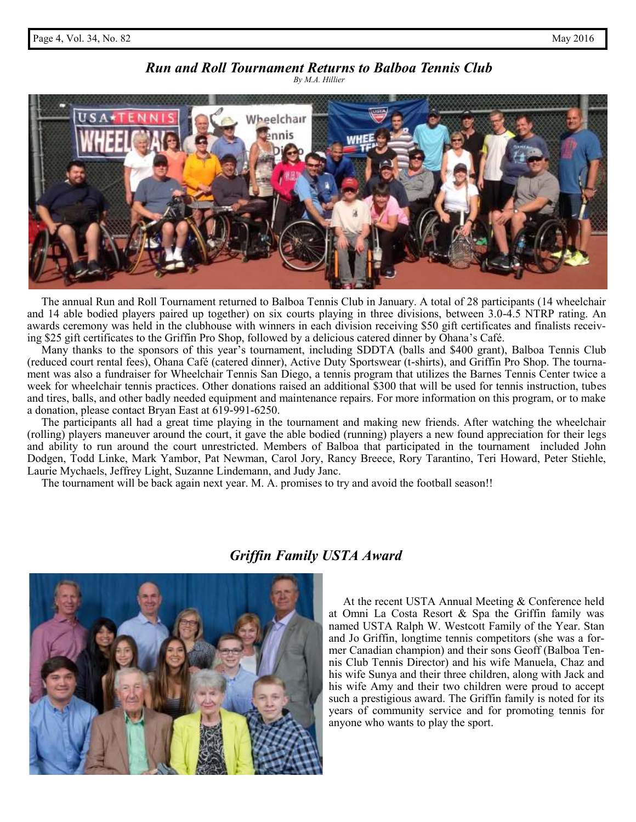# *Run and Roll Tournament Returns to Balboa Tennis Club*

*By M.A. Hillier*



 The annual Run and Roll Tournament returned to Balboa Tennis Club in January. A total of 28 participants (14 wheelchair and 14 able bodied players paired up together) on six courts playing in three divisions, between 3.0-4.5 NTRP rating. An awards ceremony was held in the clubhouse with winners in each division receiving \$50 gift certificates and finalists receiving \$25 gift certificates to the Griffin Pro Shop, followed by a delicious catered dinner by Ohana's Café.

 Many thanks to the sponsors of this year's tournament, including SDDTA (balls and \$400 grant), Balboa Tennis Club (reduced court rental fees), Ohana Café (catered dinner), Active Duty Sportswear (t-shirts), and Griffin Pro Shop. The tournament was also a fundraiser for Wheelchair Tennis San Diego, a tennis program that utilizes the Barnes Tennis Center twice a week for wheelchair tennis practices. Other donations raised an additional \$300 that will be used for tennis instruction, tubes and tires, balls, and other badly needed equipment and maintenance repairs. For more information on this program, or to make a donation, please contact Bryan East at 619-991-6250.

 The participants all had a great time playing in the tournament and making new friends. After watching the wheelchair (rolling) players maneuver around the court, it gave the able bodied (running) players a new found appreciation for their legs and ability to run around the court unrestricted. Members of Balboa that participated in the tournament included John Dodgen, Todd Linke, Mark Yambor, Pat Newman, Carol Jory, Rancy Breece, Rory Tarantino, Teri Howard, Peter Stiehle, Laurie Mychaels, Jeffrey Light, Suzanne Lindemann, and Judy Janc.

The tournament will be back again next year. M. A. promises to try and avoid the football season!!



# *Griffin Family USTA Award*

 At the recent USTA Annual Meeting & Conference held at Omni La Costa Resort & Spa the Griffin family was named USTA Ralph W. Westcott Family of the Year. Stan and Jo Griffin, longtime tennis competitors (she was a former Canadian champion) and their sons Geoff (Balboa Tennis Club Tennis Director) and his wife Manuela, Chaz and his wife Sunya and their three children, along with Jack and his wife Amy and their two children were proud to accept such a prestigious award. The Griffin family is noted for its years of community service and for promoting tennis for anyone who wants to play the sport.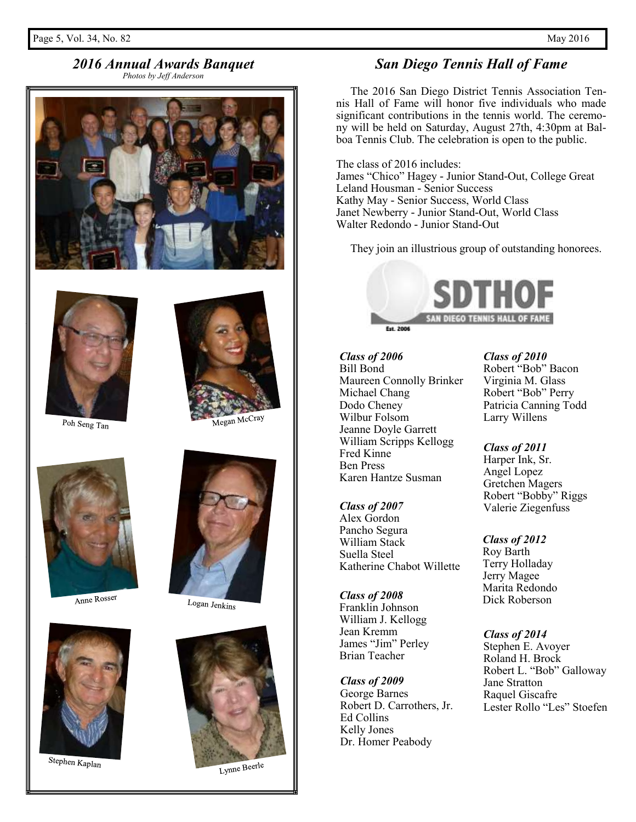# *2016 Annual Awards Banquet*

*Photos by Jeff Anderson*





Poh Seng Tan



Anne Rosser



Stephen Kaplan



Megan McCray



Logan Jenkins



Lynne Beerle

# *San Diego Tennis Hall of Fame*

 The 2016 San Diego District Tennis Association Tennis Hall of Fame will honor five individuals who made significant contributions in the tennis world. The ceremony will be held on Saturday, August 27th, 4:30pm at Balboa Tennis Club. The celebration is open to the public.

The class of 2016 includes: James "Chico" Hagey - Junior Stand-Out, College Great Leland Housman - Senior Success Kathy May - Senior Success, World Class Janet Newberry - Junior Stand-Out, World Class Walter Redondo - Junior Stand-Out

They join an illustrious group of outstanding honorees.



*Class of 2006* Bill Bond Maureen Connolly Brinker Michael Chang Dodo Cheney Wilbur Folsom Jeanne Doyle Garrett William Scripps Kellogg Fred Kinne Ben Press Karen Hantze Susman

#### *Class of 2007*

Alex Gordon Pancho Segura William Stack Suella Steel Katherine Chabot Willette

*Class of 2008* Franklin Johnson William J. Kellogg Jean Kremm James "Jim" Perley Brian Teacher

*Class of 2009* George Barnes Robert D. Carrothers, Jr. Ed Collins Kelly Jones Dr. Homer Peabody

*Class of 2010*

Robert "Bob" Bacon Virginia M. Glass Robert "Bob" Perry Patricia Canning Todd Larry Willens

*Class of 2011* Harper Ink, Sr. Angel Lopez Gretchen Magers Robert "Bobby" Riggs Valerie Ziegenfuss

*Class of 2012* Roy Barth Terry Holladay Jerry Magee Marita Redondo Dick Roberson

*Class of 2014* Stephen E. Avoyer Roland H. Brock Robert L. "Bob" Galloway Jane Stratton Raquel Giscafre Lester Rollo "Les" Stoefen